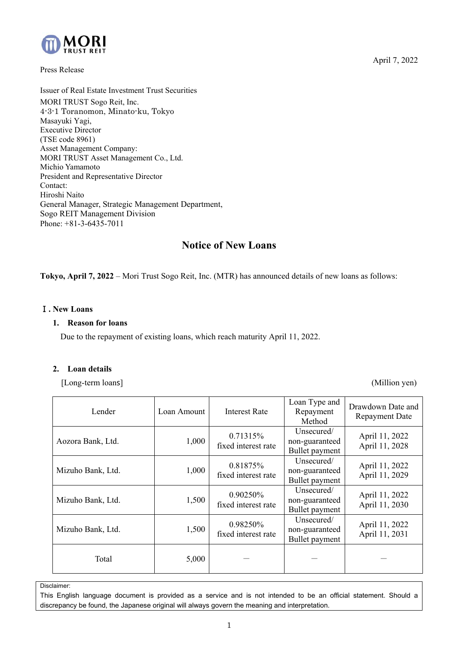

Press Release

Issuer of Real Estate Investment Trust Securities MORI TRUST Sogo Reit, Inc. 4-3-1 Toranomon, Minato-ku, Tokyo Masayuki Yagi, Executive Director (TSE code 8961) Asset Management Company: MORI TRUST Asset Management Co., Ltd. Michio Yamamoto President and Representative Director Contact: Hiroshi Naito General Manager, Strategic Management Department, Sogo REIT Management Division Phone: +81-3-6435-7011

# **Notice of New Loans**

**Tokyo, April 7, 2022** – Mori Trust Sogo Reit, Inc. (MTR) has announced details of new loans as follows:

## Ⅰ**. New Loans**

### **1. Reason for loans**

Due to the repayment of existing loans, which reach maturity April 11, 2022.

#### **2. Loan details**

[Long-term loans] (Million yen)

| Lender            | Loan Amount | <b>Interest Rate</b>            | Loan Type and<br>Repayment<br>Method           | Drawdown Date and<br><b>Repayment Date</b> |
|-------------------|-------------|---------------------------------|------------------------------------------------|--------------------------------------------|
| Aozora Bank, Ltd. | 1,000       | 0.71315%<br>fixed interest rate | Unsecured/<br>non-guaranteed<br>Bullet payment | April 11, 2022<br>April 11, 2028           |
| Mizuho Bank, Ltd. | 1,000       | 0.81875%<br>fixed interest rate | Unsecured/<br>non-guaranteed<br>Bullet payment | April 11, 2022<br>April 11, 2029           |
| Mizuho Bank, Ltd. | 1,500       | 0.90250%<br>fixed interest rate | Unsecured/<br>non-guaranteed<br>Bullet payment | April 11, 2022<br>April 11, 2030           |
| Mizuho Bank, Ltd. | 1,500       | 0.98250%<br>fixed interest rate | Unsecured/<br>non-guaranteed<br>Bullet payment | April 11, 2022<br>April 11, 2031           |
| Total             | 5,000       |                                 |                                                |                                            |

Disclaimer:

This English language document is provided as a service and is not intended to be an official statement. Should a discrepancy be found, the Japanese original will always govern the meaning and interpretation.